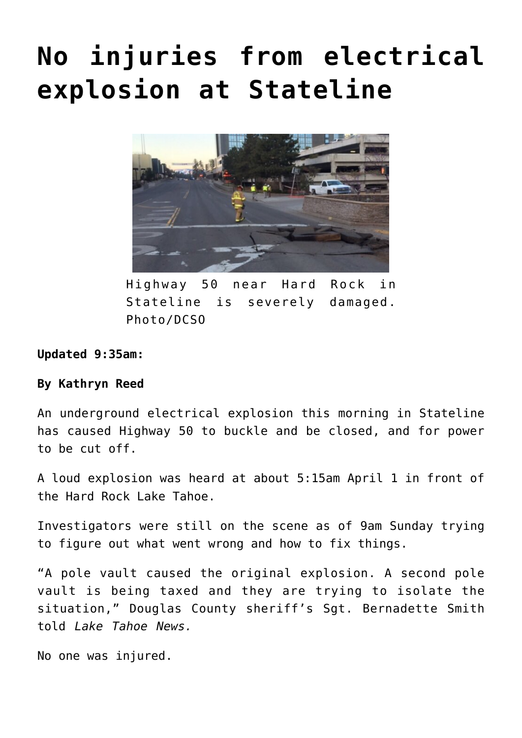## **[No injuries from electrical](https://www.laketahoenews.net/2018/04/no-injuries-electrical-explosion-stateline/) [explosion at Stateline](https://www.laketahoenews.net/2018/04/no-injuries-electrical-explosion-stateline/)**



Highway 50 near Hard Rock in Stateline is severely damaged. Photo/DCSO

**Updated 9:35am:**

## **By Kathryn Reed**

An underground electrical explosion this morning in Stateline has caused Highway 50 to buckle and be closed, and for power to be cut off.

A loud explosion was heard at about 5:15am April 1 in front of the Hard Rock Lake Tahoe.

Investigators were still on the scene as of 9am Sunday trying to figure out what went wrong and how to fix things.

"A pole vault caused the original explosion. A second pole vault is being taxed and they are trying to isolate the situation," Douglas County sheriff's Sgt. Bernadette Smith told *Lake Tahoe News.*

No one was injured.